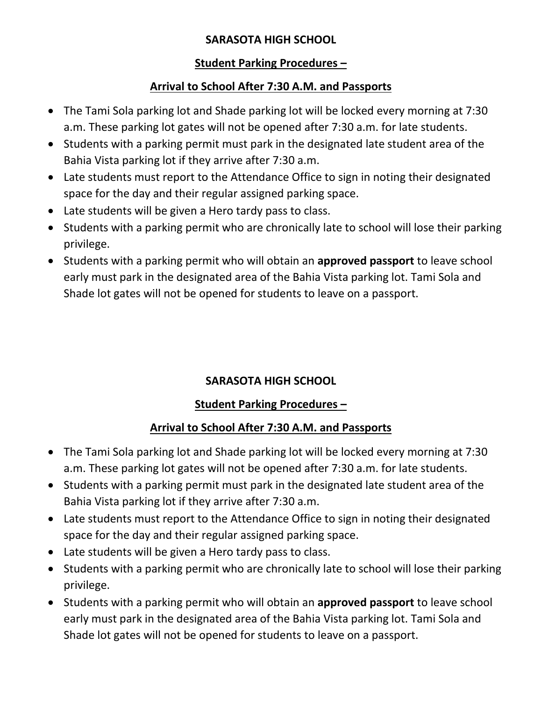#### **SARASOTA HIGH SCHOOL**

#### **Student Parking Procedures –**

#### **Arrival to School After 7:30 A.M. and Passports**

- The Tami Sola parking lot and Shade parking lot will be locked every morning at 7:30 a.m. These parking lot gates will not be opened after 7:30 a.m. for late students.
- Students with a parking permit must park in the designated late student area of the Bahia Vista parking lot if they arrive after 7:30 a.m.
- Late students must report to the Attendance Office to sign in noting their designated space for the day and their regular assigned parking space.
- Late students will be given a Hero tardy pass to class.
- Students with a parking permit who are chronically late to school will lose their parking privilege.
- Students with a parking permit who will obtain an **approved passport** to leave school early must park in the designated area of the Bahia Vista parking lot. Tami Sola and Shade lot gates will not be opened for students to leave on a passport.

#### **SARASOTA HIGH SCHOOL**

#### **Student Parking Procedures –**

#### **Arrival to School After 7:30 A.M. and Passports**

- The Tami Sola parking lot and Shade parking lot will be locked every morning at 7:30 a.m. These parking lot gates will not be opened after 7:30 a.m. for late students.
- Students with a parking permit must park in the designated late student area of the Bahia Vista parking lot if they arrive after 7:30 a.m.
- Late students must report to the Attendance Office to sign in noting their designated space for the day and their regular assigned parking space.
- Late students will be given a Hero tardy pass to class.
- Students with a parking permit who are chronically late to school will lose their parking privilege.
- Students with a parking permit who will obtain an **approved passport** to leave school early must park in the designated area of the Bahia Vista parking lot. Tami Sola and Shade lot gates will not be opened for students to leave on a passport.